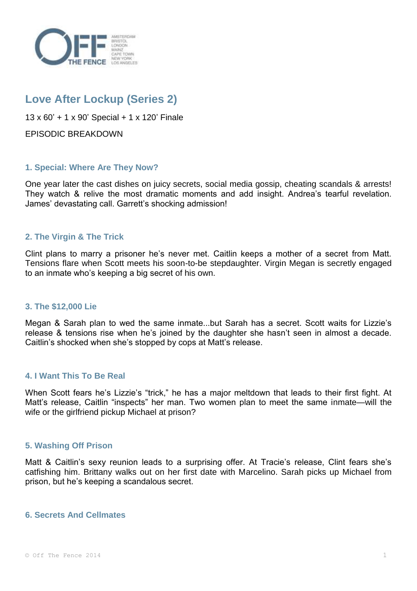

# **Love After Lockup (Series 2)**

13 x 60' + 1 x 90' Special + 1 x 120' Finale

EPISODIC BREAKDOWN

# **1. Special: Where Are They Now?**

One year later the cast dishes on juicy secrets, social media gossip, cheating scandals & arrests! They watch & relive the most dramatic moments and add insight. Andrea's tearful revelation. James' devastating call. Garrett's shocking admission!

# **2. The Virgin & The Trick**

Clint plans to marry a prisoner he's never met. Caitlin keeps a mother of a secret from Matt. Tensions flare when Scott meets his soon-to-be stepdaughter. Virgin Megan is secretly engaged to an inmate who's keeping a big secret of his own.

# **3. The \$12,000 Lie**

Megan & Sarah plan to wed the same inmate...but Sarah has a secret. Scott waits for Lizzie's release & tensions rise when he's joined by the daughter she hasn't seen in almost a decade. Caitlin's shocked when she's stopped by cops at Matt's release.

# **4. I Want This To Be Real**

When Scott fears he's Lizzie's "trick," he has a major meltdown that leads to their first fight. At Matt's release, Caitlin "inspects" her man. Two women plan to meet the same inmate—will the wife or the girlfriend pickup Michael at prison?

# **5. Washing Off Prison**

Matt & Caitlin's sexy reunion leads to a surprising offer. At Tracie's release, Clint fears she's catfishing him. Brittany walks out on her first date with Marcelino. Sarah picks up Michael from prison, but he's keeping a scandalous secret.

# **6. Secrets And Cellmates**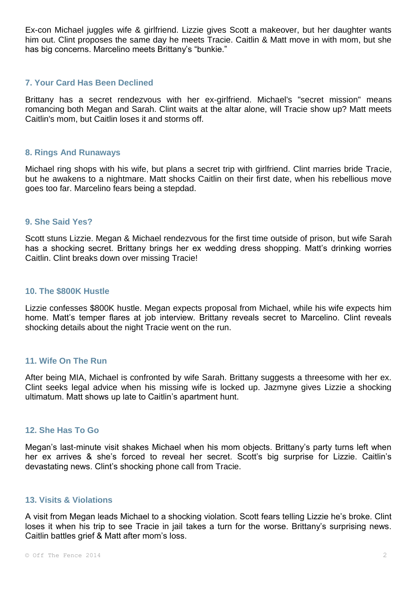Ex-con Michael juggles wife & girlfriend. Lizzie gives Scott a makeover, but her daughter wants him out. Clint proposes the same day he meets Tracie. Caitlin & Matt move in with mom, but she has big concerns. Marcelino meets Brittany's "bunkie."

# **7. Your Card Has Been Declined**

Brittany has a secret rendezvous with her ex-girlfriend. Michael's "secret mission" means romancing both Megan and Sarah. Clint waits at the altar alone, will Tracie show up? Matt meets Caitlin's mom, but Caitlin loses it and storms off.

## **8. Rings And Runaways**

Michael ring shops with his wife, but plans a secret trip with girlfriend. Clint marries bride Tracie, but he awakens to a nightmare. Matt shocks Caitlin on their first date, when his rebellious move goes too far. Marcelino fears being a stepdad.

#### **9. She Said Yes?**

Scott stuns Lizzie. Megan & Michael rendezvous for the first time outside of prison, but wife Sarah has a shocking secret. Brittany brings her ex wedding dress shopping. Matt's drinking worries Caitlin. Clint breaks down over missing Tracie!

#### **10. The \$800K Hustle**

Lizzie confesses \$800K hustle. Megan expects proposal from Michael, while his wife expects him home. Matt's temper flares at job interview. Brittany reveals secret to Marcelino. Clint reveals shocking details about the night Tracie went on the run.

#### **11. Wife On The Run**

After being MIA, Michael is confronted by wife Sarah. Brittany suggests a threesome with her ex. Clint seeks legal advice when his missing wife is locked up. Jazmyne gives Lizzie a shocking ultimatum. Matt shows up late to Caitlin's apartment hunt.

## **12. She Has To Go**

Megan's last-minute visit shakes Michael when his mom objects. Brittany's party turns left when her ex arrives & she's forced to reveal her secret. Scott's big surprise for Lizzie. Caitlin's devastating news. Clint's shocking phone call from Tracie.

#### **13. Visits & Violations**

A visit from Megan leads Michael to a shocking violation. Scott fears telling Lizzie he's broke. Clint loses it when his trip to see Tracie in jail takes a turn for the worse. Brittany's surprising news. Caitlin battles grief & Matt after mom's loss.